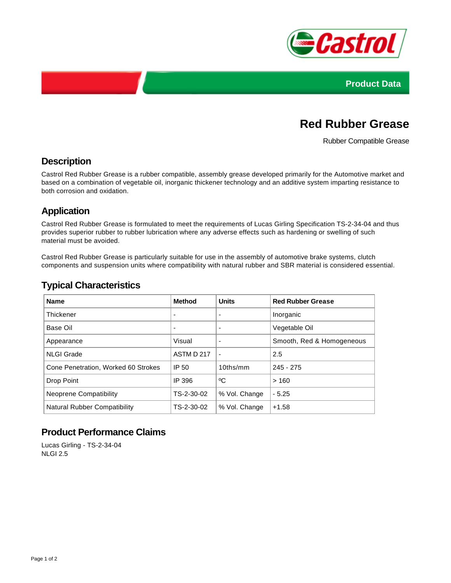



# **Red Rubber Grease**

Rubber Compatible Grease

### **Description**

Castrol Red Rubber Grease is a rubber compatible, assembly grease developed primarily for the Automotive market and based on a combination of vegetable oil, inorganic thickener technology and an additive system imparting resistance to both corrosion and oxidation.

# **Application**

Castrol Red Rubber Grease is formulated to meet the requirements of Lucas Girling Specification TS-2-34-04 and thus provides superior rubber to rubber lubrication where any adverse effects such as hardening or swelling of such material must be avoided.

Castrol Red Rubber Grease is particularly suitable for use in the assembly of automotive brake systems, clutch components and suspension units where compatibility with natural rubber and SBR material is considered essential.

### **Typical Characteristics**

| <b>Name</b>                         | <b>Method</b> | <b>Units</b>  | <b>Red Rubber Grease</b>  |
|-------------------------------------|---------------|---------------|---------------------------|
| <b>Thickener</b>                    |               |               | Inorganic                 |
| Base Oil                            |               |               | Vegetable Oil             |
| Appearance                          | Visual        |               | Smooth, Red & Homogeneous |
| <b>NLGI Grade</b>                   | ASTM D 217    |               | 2.5                       |
| Cone Penetration, Worked 60 Strokes | IP 50         | $10$ ths/mm   | $245 - 275$               |
| Drop Point                          | IP 396        | °C            | >160                      |
| Neoprene Compatibility              | TS-2-30-02    | % Vol. Change | $-5.25$                   |
| Natural Rubber Compatibility        | TS-2-30-02    | % Vol. Change | $+1.58$                   |

# **Product Performance Claims**

Lucas Girling - TS-2-34-04 NLGI 2.5